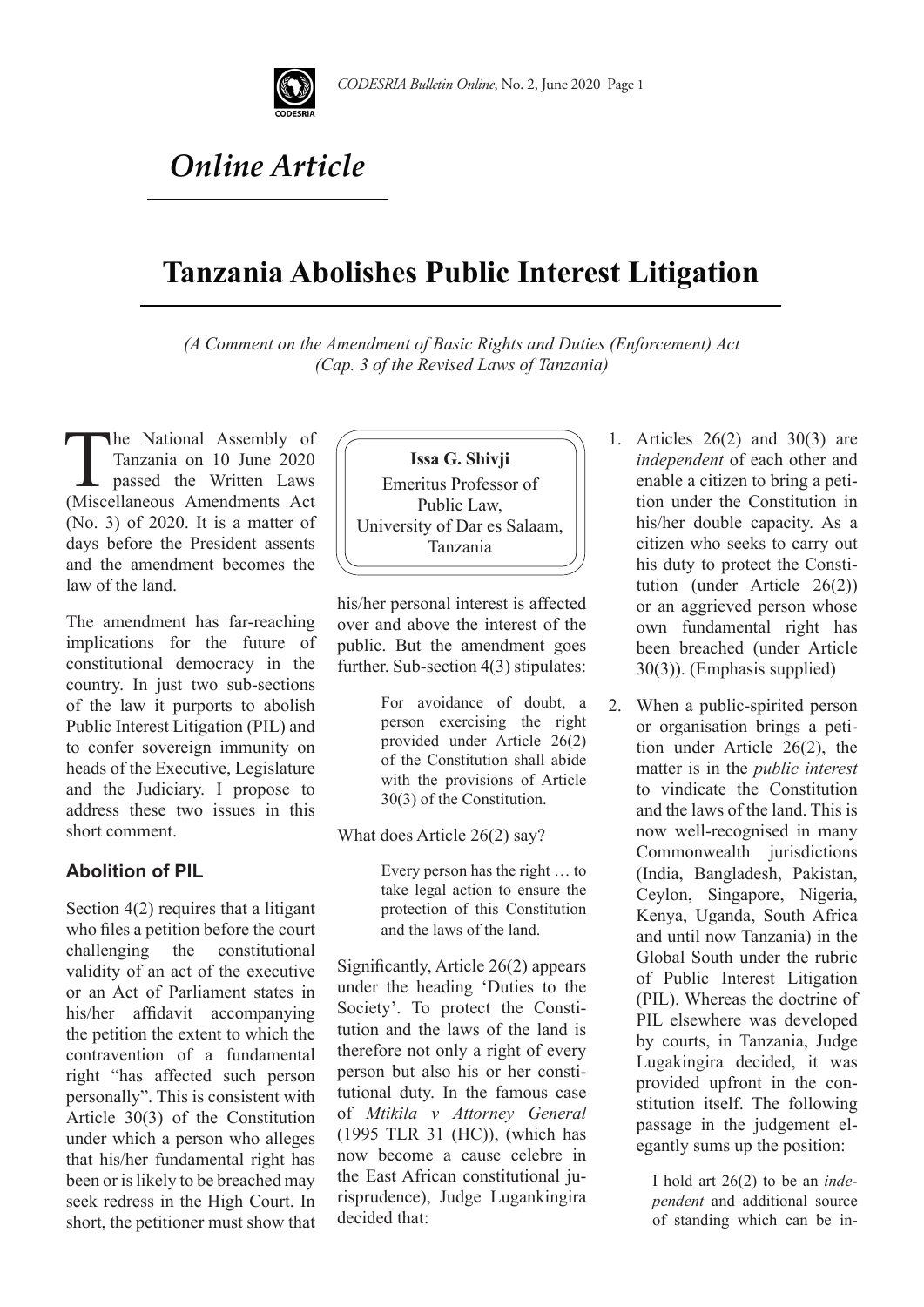

# *Online Article*

## **Tanzania Abolishes Public Interest Litigation**

*(A Comment on the Amendment of Basic Rights and Duties (Enforcement) Act (Cap. 3 of the Revised Laws of Tanzania)*

The National Assembly of<br>Tanzania on 10 June 2020<br>passed the Written Laws<br>(Miscellaneous Amendments Act Tanzania on 10 June 2020 passed the Written Laws (Miscellaneous Amendments Act (No. 3) of 2020. It is a matter of days before the President assents and the amendment becomes the law of the land.

The amendment has far-reaching implications for the future of constitutional democracy in the country. In just two sub-sections of the law it purports to abolish Public Interest Litigation (PIL) and to confer sovereign immunity on heads of the Executive, Legislature and the Judiciary. I propose to address these two issues in this short comment.

### **Abolition of PIL**

Section 4(2) requires that a litigant who files a petition before the court challenging the constitutional validity of an act of the executive or an Act of Parliament states in his/her affidavit accompanying the petition the extent to which the contravention of a fundamental right "has affected such person personally". This is consistent with Article 30(3) of the Constitution under which a person who alleges that his/her fundamental right has been or is likely to be breached may seek redress in the High Court. In short, the petitioner must show that



his/her personal interest is affected over and above the interest of the public. But the amendment goes further. Sub-section 4(3) stipulates:

> For avoidance of doubt, a person exercising the right provided under Article 26(2) of the Constitution shall abide with the provisions of Article 30(3) of the Constitution.

What does Article 26(2) say?

Every person has the right … to take legal action to ensure the protection of this Constitution and the laws of the land.

Significantly, Article 26(2) appears under the heading 'Duties to the Society'. To protect the Constitution and the laws of the land is therefore not only a right of every person but also his or her constitutional duty. In the famous case of *Mtikila v Attorney General* (1995 TLR 31 (HC)), (which has now become a cause celebre in the East African constitutional jurisprudence), Judge Lugankingira decided that:

- 1. Articles 26(2) and 30(3) are *independent* of each other and enable a citizen to bring a petition under the Constitution in his/her double capacity. As a citizen who seeks to carry out his duty to protect the Constitution (under Article 26(2)) or an aggrieved person whose own fundamental right has been breached (under Article 30(3)). (Emphasis supplied)
- 2. When a public-spirited person or organisation brings a petition under Article 26(2), the matter is in the *public interest* to vindicate the Constitution and the laws of the land. This is now well-recognised in many Commonwealth jurisdictions (India, Bangladesh, Pakistan, Ceylon, Singapore, Nigeria, Kenya, Uganda, South Africa and until now Tanzania) in the Global South under the rubric of Public Interest Litigation (PIL). Whereas the doctrine of PIL elsewhere was developed by courts, in Tanzania, Judge Lugakingira decided, it was provided upfront in the constitution itself. The following passage in the judgement elegantly sums up the position:

I hold art 26(2) to be an *independent* and additional source of standing which can be in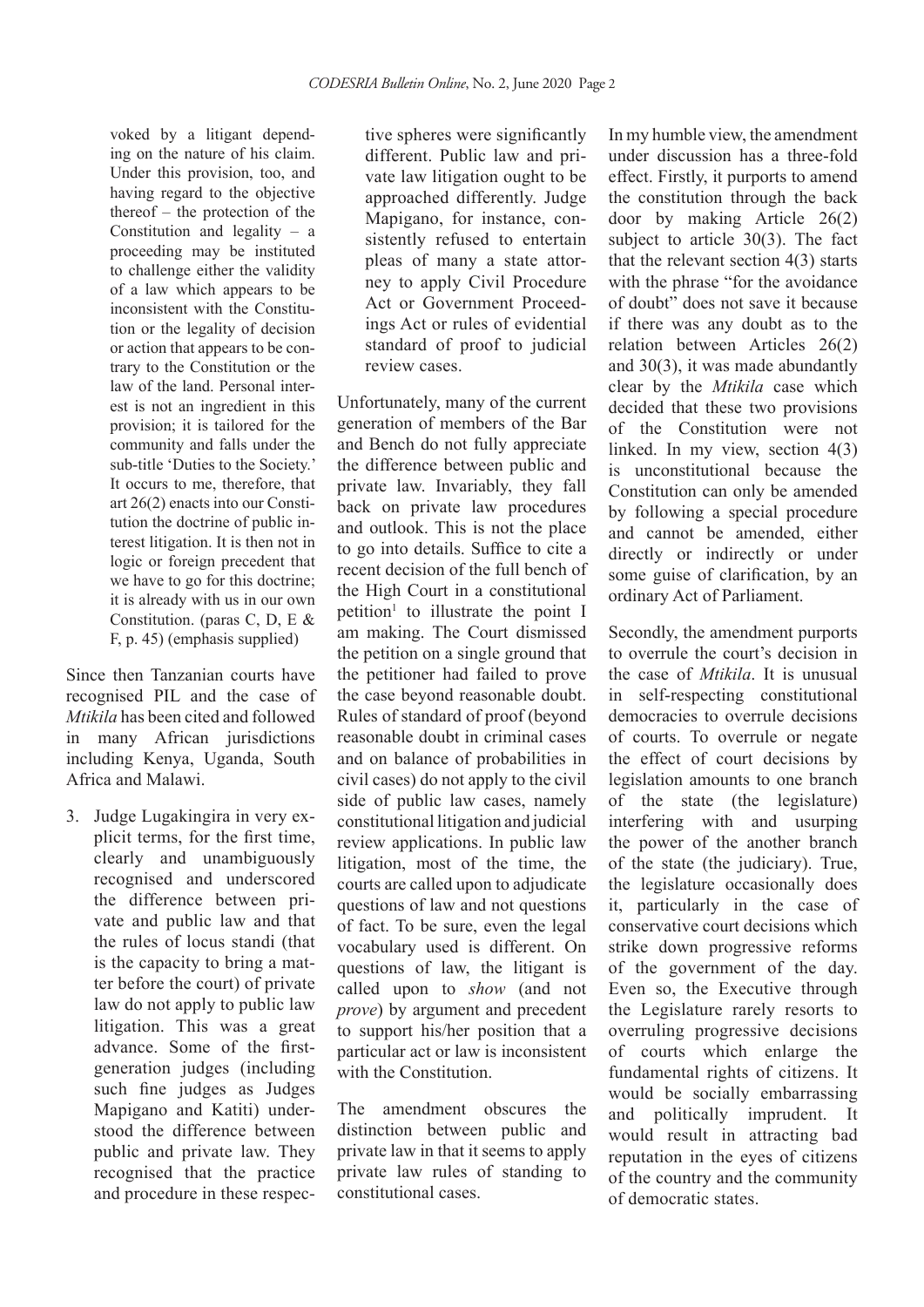voked by a litigant depending on the nature of his claim. Under this provision, too, and having regard to the objective thereof – the protection of the Constitution and legality – a proceeding may be instituted to challenge either the validity of a law which appears to be inconsistent with the Constitution or the legality of decision or action that appears to be contrary to the Constitution or the law of the land. Personal interest is not an ingredient in this provision; it is tailored for the community and falls under the sub-title 'Duties to the Society.' It occurs to me, therefore, that art 26(2) enacts into our Constitution the doctrine of public interest litigation. It is then not in logic or foreign precedent that we have to go for this doctrine; it is already with us in our own Constitution. (paras C, D, E & F, p. 45) (emphasis supplied)

Since then Tanzanian courts have recognised PIL and the case of *Mtikila* has been cited and followed in many African jurisdictions including Kenya, Uganda, South Africa and Malawi.

3. Judge Lugakingira in very explicit terms, for the first time, clearly and unambiguously recognised and underscored the difference between private and public law and that the rules of locus standi (that is the capacity to bring a matter before the court) of private law do not apply to public law litigation. This was a great advance. Some of the firstgeneration judges (including such fine judges as Judges Mapigano and Katiti) understood the difference between public and private law. They recognised that the practice and procedure in these respective spheres were significantly different. Public law and private law litigation ought to be approached differently. Judge Mapigano, for instance, consistently refused to entertain pleas of many a state attorney to apply Civil Procedure Act or Government Proceedings Act or rules of evidential standard of proof to judicial review cases.

Unfortunately, many of the current generation of members of the Bar and Bench do not fully appreciate the difference between public and private law. Invariably, they fall back on private law procedures and outlook. This is not the place to go into details. Suffice to cite a recent decision of the full bench of the High Court in a constitutional petition<sup>1</sup> to illustrate the point I am making. The Court dismissed the petition on a single ground that the petitioner had failed to prove the case beyond reasonable doubt. Rules of standard of proof (beyond reasonable doubt in criminal cases and on balance of probabilities in civil cases) do not apply to the civil side of public law cases, namely constitutional litigation and judicial review applications. In public law litigation, most of the time, the courts are called upon to adjudicate questions of law and not questions of fact. To be sure, even the legal vocabulary used is different. On questions of law, the litigant is called upon to *show* (and not *prove*) by argument and precedent to support his/her position that a particular act or law is inconsistent with the Constitution.

The amendment obscures the distinction between public and private law in that it seems to apply private law rules of standing to constitutional cases.

In my humble view, the amendment under discussion has a three-fold effect. Firstly, it purports to amend the constitution through the back door by making Article 26(2) subject to article 30(3). The fact that the relevant section 4(3) starts with the phrase "for the avoidance" of doubt" does not save it because if there was any doubt as to the relation between Articles 26(2) and 30(3), it was made abundantly clear by the *Mtikila* case which decided that these two provisions of the Constitution were not linked. In my view, section 4(3) is unconstitutional because the Constitution can only be amended by following a special procedure and cannot be amended, either directly or indirectly or under some guise of clarification, by an ordinary Act of Parliament.

Secondly, the amendment purports to overrule the court's decision in the case of *Mtikila*. It is unusual in self-respecting constitutional democracies to overrule decisions of courts. To overrule or negate the effect of court decisions by legislation amounts to one branch of the state (the legislature) interfering with and usurping the power of the another branch of the state (the judiciary). True, the legislature occasionally does it, particularly in the case of conservative court decisions which strike down progressive reforms of the government of the day. Even so, the Executive through the Legislature rarely resorts to overruling progressive decisions of courts which enlarge the fundamental rights of citizens. It would be socially embarrassing and politically imprudent. It would result in attracting bad reputation in the eyes of citizens of the country and the community of democratic states.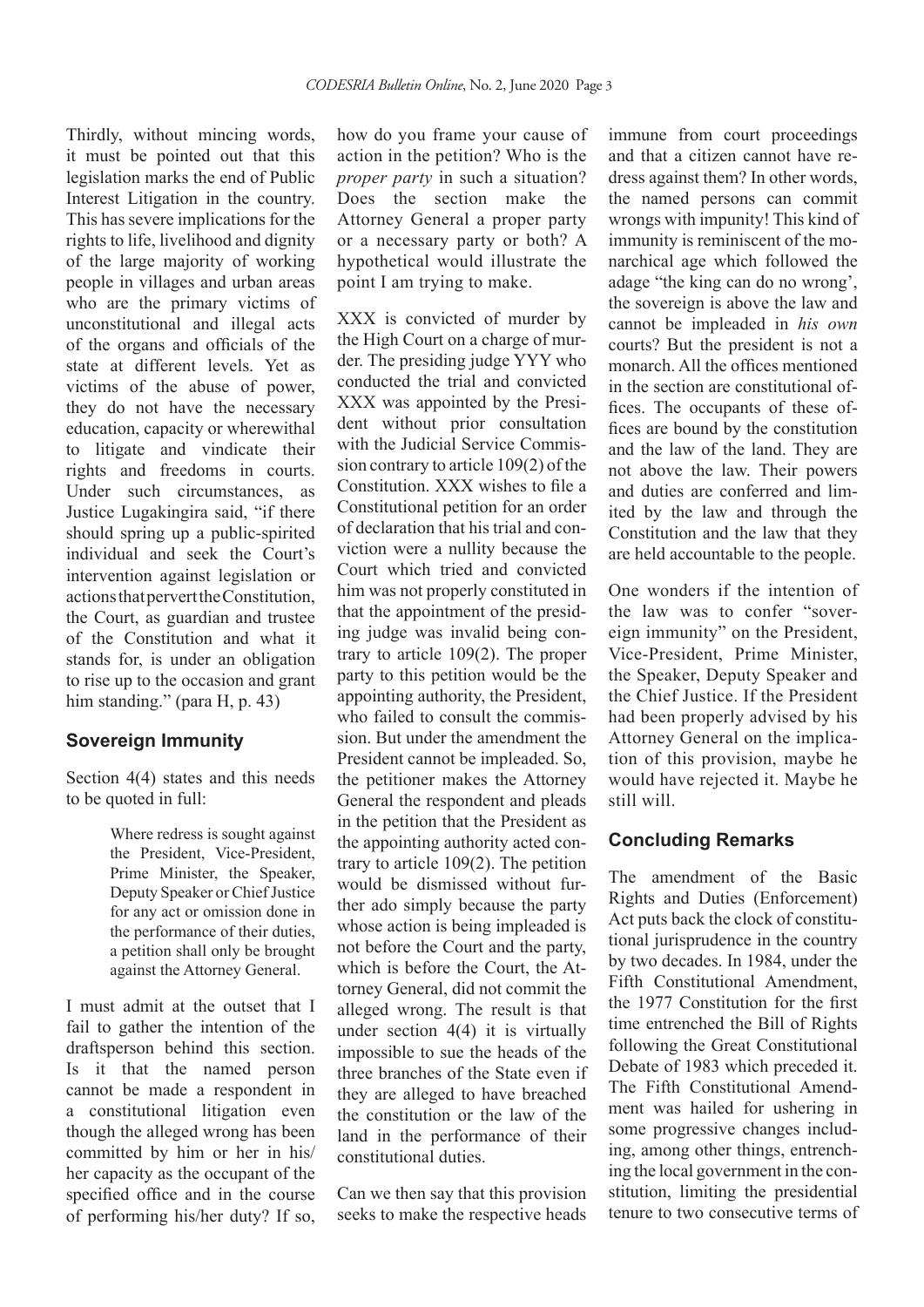Thirdly, without mincing words, it must be pointed out that this legislation marks the end of Public Interest Litigation in the country. This has severe implications for the rights to life, livelihood and dignity of the large majority of working people in villages and urban areas who are the primary victims of unconstitutional and illegal acts of the organs and officials of the state at different levels. Yet as victims of the abuse of power, they do not have the necessary education, capacity or wherewithal to litigate and vindicate their rights and freedoms in courts. Under such circumstances, as Justice Lugakingira said, "if there should spring up a public-spirited individual and seek the Court's intervention against legislation or actions that pervert the Constitution, the Court, as guardian and trustee of the Constitution and what it stands for, is under an obligation to rise up to the occasion and grant him standing." (para H, p. 43)

#### **Sovereign Immunity**

Section 4(4) states and this needs to be quoted in full:

> Where redress is sought against the President, Vice-President, Prime Minister, the Speaker, Deputy Speaker or Chief Justice for any act or omission done in the performance of their duties, a petition shall only be brought against the Attorney General.

I must admit at the outset that I fail to gather the intention of the draftsperson behind this section. Is it that the named person cannot be made a respondent in a constitutional litigation even though the alleged wrong has been committed by him or her in his/ her capacity as the occupant of the specified office and in the course of performing his/her duty? If so,

how do you frame your cause of action in the petition? Who is the *proper party* in such a situation? Does the section make the Attorney General a proper party or a necessary party or both? A hypothetical would illustrate the point I am trying to make.

XXX is convicted of murder by the High Court on a charge of murder. The presiding judge YYY who conducted the trial and convicted XXX was appointed by the President without prior consultation with the Judicial Service Commission contrary to article 109(2) of the Constitution. XXX wishes to file a Constitutional petition for an order of declaration that his trial and conviction were a nullity because the Court which tried and convicted him was not properly constituted in that the appointment of the presiding judge was invalid being contrary to article 109(2). The proper party to this petition would be the appointing authority, the President, who failed to consult the commission. But under the amendment the President cannot be impleaded. So, the petitioner makes the Attorney General the respondent and pleads in the petition that the President as the appointing authority acted contrary to article 109(2). The petition would be dismissed without further ado simply because the party whose action is being impleaded is not before the Court and the party, which is before the Court, the Attorney General, did not commit the alleged wrong. The result is that under section 4(4) it is virtually impossible to sue the heads of the three branches of the State even if they are alleged to have breached the constitution or the law of the land in the performance of their constitutional duties.

Can we then say that this provision seeks to make the respective heads immune from court proceedings and that a citizen cannot have redress against them? In other words, the named persons can commit wrongs with impunity! This kind of immunity is reminiscent of the monarchical age which followed the adage "the king can do no wrong', the sovereign is above the law and cannot be impleaded in *his own* courts? But the president is not a monarch. All the offices mentioned in the section are constitutional offices. The occupants of these offices are bound by the constitution and the law of the land. They are not above the law. Their powers and duties are conferred and limited by the law and through the Constitution and the law that they are held accountable to the people.

One wonders if the intention of the law was to confer "sovereign immunity" on the President, Vice-President, Prime Minister, the Speaker, Deputy Speaker and the Chief Justice. If the President had been properly advised by his Attorney General on the implication of this provision, maybe he would have rejected it. Maybe he still will.

#### **Concluding Remarks**

The amendment of the Basic Rights and Duties (Enforcement) Act puts back the clock of constitutional jurisprudence in the country by two decades. In 1984, under the Fifth Constitutional Amendment, the 1977 Constitution for the first time entrenched the Bill of Rights following the Great Constitutional Debate of 1983 which preceded it. The Fifth Constitutional Amendment was hailed for ushering in some progressive changes including, among other things, entrenching the local government in the constitution, limiting the presidential tenure to two consecutive terms of